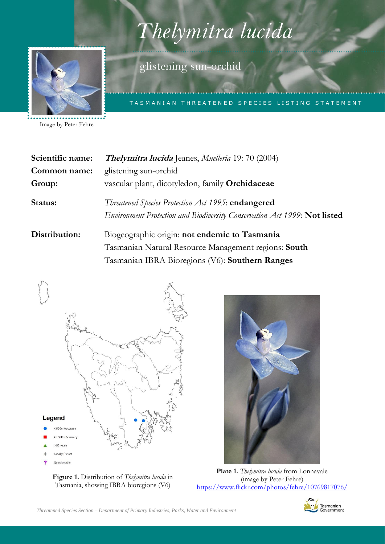# Listing Statement for *Thelymitra lucida* (glistening sun-orchid) *Thelymitra lucida*

TASMANIAN THREATENED SPECIES LISTING STATEMENT



Image by Peter Fehre

**Scientific name: Thelymitra lucida** Jeanes, *Muelleria* 19: 70 (2004) **Common name:** glistening sun-orchid **Group:** vascular plant, dicotyledon, family **Orchidaceae Status:** *Threatened Species Protection Act 1995*: **endangered** *Environment Protection and Biodiversity Conservation Act 1999*: **Not listed Distribution:** Biogeographic origin: **not endemic to Tasmania** Tasmanian Natural Resource Management regions: **South** Tasmanian IBRA Bioregions (V6): **Southern Ranges**

glistening sun-orchid



**Figure 1.** Distribution of *Thelymitra lucida* in Tasmania, showing IBRA bioregions (V6)



**Plate 1.** *Thelymitra lucida* from Lonnavale (image by Peter Fehre) <https://www.flickr.com/photos/fehre/10769817076/>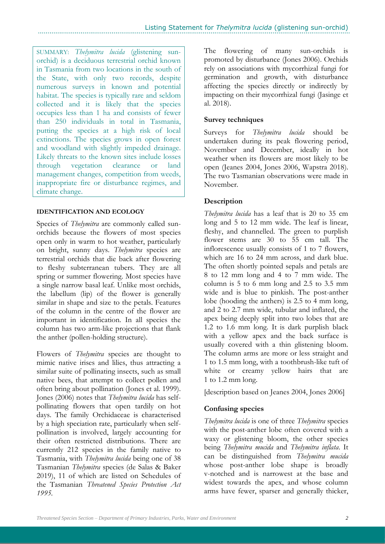SUMMARY: *Thelymitra lucida* (glistening sunorchid) is a deciduous terrestrial orchid known in Tasmania from two locations in the south of the State, with only two records, despite numerous surveys in known and potential habitat. The species is typically rare and seldom collected and it is likely that the species occupies less than 1 ha and consists of fewer than 250 individuals in total in Tasmania, putting the species at a high risk of local extinctions. The species grows in open forest and woodland with slightly impeded drainage. Likely threats to the known sites include losses through vegetation clearance or land management changes, competition from weeds, inappropriate fire or disturbance regimes, and climate change.

# **IDENTIFICATION AND ECOLOGY**

Species of *Thelymitra* are commonly called sunorchids because the flowers of most species open only in warm to hot weather, particularly on bright, sunny days. *Thelymitra* species are terrestrial orchids that die back after flowering to fleshy subterranean tubers. They are all spring or summer flowering. Most species have a single narrow basal leaf. Unlike most orchids, the labellum (lip) of the flower is generally similar in shape and size to the petals. Features of the column in the centre of the flower are important in identification. In all species the column has two arm-like projections that flank the anther (pollen-holding structure).

Flowers of *Thelymitra* species are thought to mimic native irises and lilies, thus attracting a similar suite of pollinating insects, such as small native bees, that attempt to collect pollen and often bring about pollination (Jones et al. 1999). Jones (2006) notes that *Thelymitra lucida* has selfpollinating flowers that open tardily on hot days. The family Orchidaceae is characterised by a high speciation rate, particularly when selfpollination is involved, largely accounting for their often restricted distributions. There are currently 212 species in the family native to Tasmania, with *Thelymitra lucida* being one of 38 Tasmanian *Thelymitra* species (de Salas & Baker 2019), 11 of which are listed on Schedules of the Tasmanian *Threatened Species Protection Act 1995.*

The flowering of many sun-orchids is promoted by disturbance (Jones 2006). Orchids rely on associations with mycorrhizal fungi for germination and growth, with disturbance affecting the species directly or indirectly by impacting on their mycorrhizal fungi (Jasinge et al. 2018).

# **Survey techniques**

Surveys for *Thelymitra lucida* should be undertaken during its peak flowering period, November and December, ideally in hot weather when its flowers are most likely to be open (Jeanes 2004, Jones 2006, Wapstra 2018). The two Tasmanian observations were made in November.

# **Description**

*Thelymitra lucida* has a leaf that is 20 to 35 cm long and 5 to 12 mm wide. The leaf is linear, fleshy, and channelled. The green to purplish flower stems are 30 to 55 cm tall. The inflorescence usually consists of 1 to 7 flowers, which are 16 to 24 mm across, and dark blue. The often shortly pointed sepals and petals are 8 to 12 mm long and 4 to 7 mm wide. The column is 5 to 6 mm long and 2.5 to 3.5 mm wide and is blue to pinkish. The post-anther lobe (hooding the anthers) is 2.5 to 4 mm long, and 2 to 2.7 mm wide, tubular and inflated, the apex being deeply split into two lobes that are 1.2 to 1.6 mm long. It is dark purplish black with a yellow apex and the back surface is usually covered with a thin glistening bloom. The column arms are more or less straight and 1 to 1.5 mm long, with a toothbrush-like tuft of white or creamy yellow hairs that are 1 to 1.2 mm long.

[description based on Jeanes 2004, Jones 2006]

# **Confusing species**

*Thelymitra lucida* is one of three *Thelymitra* species with the post-anther lobe often covered with a waxy or glistening bloom, the other species being *Thelymitra mucida* and *Thelymitra inflata*. It can be distinguished from *Thelymitra mucida*  whose post-anther lobe shape is broadly v-notched and is narrowest at the base and widest towards the apex, and whose column arms have fewer, sparser and generally thicker,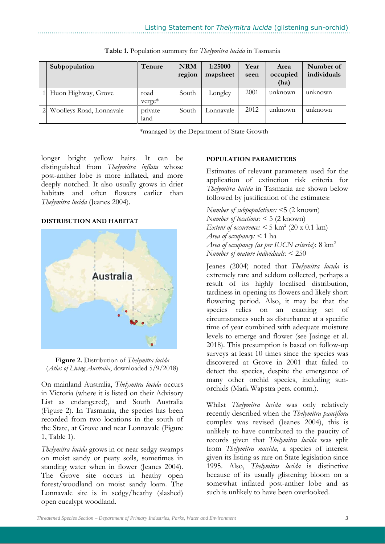| Subpopulation            | Tenure          | <b>NRM</b><br>region | 1:25000<br>mapsheet | Year<br>seen | Area<br>occupied<br>(ha) | Number of<br>individuals |
|--------------------------|-----------------|----------------------|---------------------|--------------|--------------------------|--------------------------|
| Huon Highway, Grove      | road<br>verge*  | South                | Longley             | 2001         | unknown                  | unknown                  |
| Woolleys Road, Lonnavale | private<br>land | South                | Lonnavale           | 2012         | unknown                  | unknown                  |

**Table 1.** Population summary for *Thelymitra lucida* in Tasmania

\*managed by the Department of State Growth

longer bright yellow hairs. It can be distinguished from *Thelymitra inflata* whose post-anther lobe is more inflated, and more deeply notched. It also usually grows in drier habitats and often flowers earlier than *Thelymitra lucida* (Jeanes 2004).

#### **DISTRIBUTION AND HABITAT**





On mainland Australia, *Thelymitra lucida* occurs in Victoria (where it is listed on their Advisory List as endangered), and South Australia (Figure 2). In Tasmania, the species has been recorded from two locations in the south of the State, at Grove and near Lonnavale (Figure 1, Table 1).

*Thelymitra lucida* grows in or near sedgy swamps on moist sandy or peaty soils, sometimes in standing water when in flower (Jeanes 2004). The Grove site occurs in heathy open forest/woodland on moist sandy loam. The Lonnavale site is in sedgy/heathy (slashed) open eucalypt woodland.

### **POPULATION PARAMETERS**

Estimates of relevant parameters used for the application of extinction risk criteria for *Thelymitra lucida* in Tasmania are shown below followed by justification of the estimates:

*Number of subpopulations: <*5 (2 known) *Number of locations: <* 5 (2 known) *Extent of occurrence:*  $<$  5 km<sup>2</sup> (20 x 0.1 km) *Area of occupancy: <* 1 ha *Area of occupancy (as per IUCN criteria*): 8 km<sup>2</sup> *Number of mature individuals:* < 250

Jeanes (2004) noted that *Thelymitra lucida* is extremely rare and seldom collected, perhaps a result of its highly localised distribution, tardiness in opening its flowers and likely short flowering period. Also, it may be that the species relies on an exacting set of circumstances such as disturbance at a specific time of year combined with adequate moisture levels to emerge and flower (see Jasinge et al. 2018). This presumption is based on follow-up surveys at least 10 times since the species was discovered at Grove in 2001 that failed to detect the species, despite the emergence of many other orchid species, including sunorchids (Mark Wapstra pers. comm.).

Whilst *Thelymitra lucida* was only relatively recently described when the *Thelymitra pauciflora* complex was revised (Jeanes 2004), this is unlikely to have contributed to the paucity of records given that *Thelymitra lucida* was split from *Thelymitra mucida*, a species of interest given its listing as rare on State legislation since 1995. Also, *Thelymitra lucida* is distinctive because of its usually glistening bloom on a somewhat inflated post-anther lobe and as such is unlikely to have been overlooked.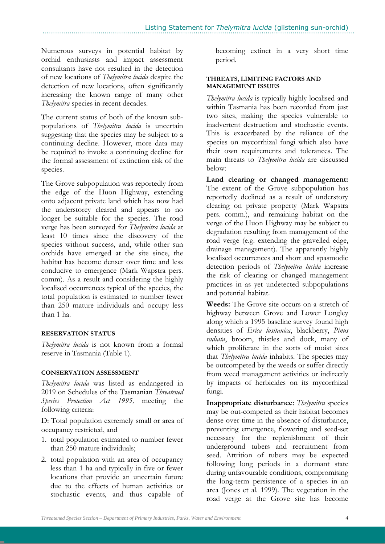Numerous surveys in potential habitat by orchid enthusiasts and impact assessment consultants have not resulted in the detection of new locations of *Thelymitra lucida* despite the detection of new locations, often significantly increasing the known range of many other *Thelymitra* species in recent decades.

The current status of both of the known subpopulations of *Thelymitra lucida* is uncertain suggesting that the species may be subject to a continuing decline. However, more data may be required to invoke a continuing decline for the formal assessment of extinction risk of the species.

The Grove subpopulation was reportedly from the edge of the Huon Highway, extending onto adjacent private land which has now had the understorey cleared and appears to no longer be suitable for the species. The road verge has been surveyed for *Thelymitra lucida* at least 10 times since the discovery of the species without success, and, while other sun orchids have emerged at the site since, the habitat has become denser over time and less conducive to emergence (Mark Wapstra pers. comm). As a result and considering the highly localised occurrences typical of the species, the total population is estimated to number fewer than 250 mature individuals and occupy less than 1 ha.

# **RESERVATION STATUS**

*Thelymitra lucida* is not known from a formal reserve in Tasmania (Table 1).

# **CONSERVATION ASSESSMENT**

*Thelymitra lucida* was listed as endangered in 2019 on Schedules of the Tasmanian *Threatened Species Protection Act 1995,* meeting the following criteria:

D: Total population extremely small or area of occupancy restricted, and

- 1. total population estimated to number fewer than 250 mature individuals;
- 2. total population with an area of occupancy less than 1 ha and typically in five or fewer locations that provide an uncertain future due to the effects of human activities or stochastic events, and thus capable of

becoming extinct in a very short time period.

#### **THREATS, LIMITING FACTORS AND MANAGEMENT ISSUES**

*Thelymitra lucida* is typically highly localised and within Tasmania has been recorded from just two sites, making the species vulnerable to inadvertent destruction and stochastic events. This is exacerbated by the reliance of the species on mycorrhizal fungi which also have their own requirements and tolerances. The main threats to *Thelymitra lucida* are discussed below:

**Land clearing or changed management:** The extent of the Grove subpopulation has reportedly declined as a result of understory clearing on private property (Mark Wapstra pers. comm.), and remaining habitat on the verge of the Huon Highway may be subject to degradation resulting from management of the road verge (e.g. extending the gravelled edge, drainage management). The apparently highly localised occurrences and short and spasmodic detection periods of *Thelymitra lucida* increase the risk of clearing or changed management practices in as yet undetected subpopulations and potential habitat.

**Weeds:** The Grove site occurs on a stretch of highway between Grove and Lower Longley along which a 1995 baseline survey found high densities of *Erica lusitanica*, blackberry, *Pinus radiata*, broom, thistles and dock, many of which proliferate in the sorts of moist sites that *Thelymitra lucida* inhabits. The species may be outcompeted by the weeds or suffer directly from weed management activities or indirectly by impacts of herbicides on its mycorrhizal fungi.

**Inappropriate disturbance**: *Thelymitra* species may be out-competed as their habitat becomes dense over time in the absence of disturbance, preventing emergence, flowering and seed-set necessary for the replenishment of their underground tubers and recruitment from seed. Attrition of tubers may be expected following long periods in a dormant state during unfavourable conditions, compromising the long-term persistence of a species in an area (Jones et al. 1999). The vegetation in the road verge at the Grove site has become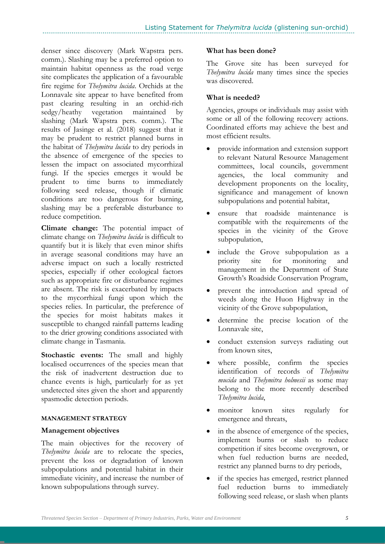denser since discovery (Mark Wapstra pers. comm.). Slashing may be a preferred option to maintain habitat openness as the road verge site complicates the application of a favourable fire regime for *Thelymitra lucida*. Orchids at the Lonnavale site appear to have benefited from past clearing resulting in an orchid-rich sedgy/heathy vegetation maintained by slashing (Mark Wapstra pers. comm.). The results of Jasinge et al. (2018) suggest that it may be prudent to restrict planned burns in the habitat of *Thelymitra lucida* to dry periods in the absence of emergence of the species to lessen the impact on associated mycorrhizal fungi. If the species emerges it would be prudent to time burns to immediately following seed release, though if climatic conditions are too dangerous for burning, slashing may be a preferable disturbance to reduce competition.

**Climate change:** The potential impact of climate change on *Thelymitra lucida* is difficult to quantify but it is likely that even minor shifts in average seasonal conditions may have an adverse impact on such a locally restricted species, especially if other ecological factors such as appropriate fire or disturbance regimes are absent. The risk is exacerbated by impacts to the mycorrhizal fungi upon which the species relies. In particular, the preference of the species for moist habitats makes it susceptible to changed rainfall patterns leading to the drier growing conditions associated with climate change in Tasmania.

**Stochastic events:** The small and highly localised occurrences of the species mean that the risk of inadvertent destruction due to chance events is high, particularly for as yet undetected sites given the short and apparently spasmodic detection periods.

# **MANAGEMENT STRATEGY**

#### **Management objectives**

The main objectives for the recovery of *Thelymitra lucida* are to relocate the species, prevent the loss or degradation of known subpopulations and potential habitat in their immediate vicinity, and increase the number of known subpopulations through survey.

#### **What has been done?**

The Grove site has been surveyed for *Thelymitra lucida* many times since the species was discovered.

## **What is needed?**

Agencies, groups or individuals may assist with some or all of the following recovery actions. Coordinated efforts may achieve the best and most efficient results.

- provide information and extension support to relevant Natural Resource Management committees, local councils, government agencies, the local community and development proponents on the locality, significance and management of known subpopulations and potential habitat,
- ensure that roadside maintenance is compatible with the requirements of the species in the vicinity of the Grove subpopulation,
- include the Grove subpopulation as a priority site for monitoring and management in the Department of State Growth's Roadside Conservation Program,
- prevent the introduction and spread of weeds along the Huon Highway in the vicinity of the Grove subpopulation,
- determine the precise location of the Lonnavale site,
- conduct extension surveys radiating out from known sites,
- where possible, confirm the species identification of records of *Thelymitra mucida* and *Thelymitra holmesii* as some may belong to the more recently described *Thelymitra lucida*,
- monitor known sites regularly for emergence and threats,
- in the absence of emergence of the species, implement burns or slash to reduce competition if sites become overgrown, or when fuel reduction burns are needed, restrict any planned burns to dry periods,
- if the species has emerged, restrict planned fuel reduction burns to immediately following seed release, or slash when plants